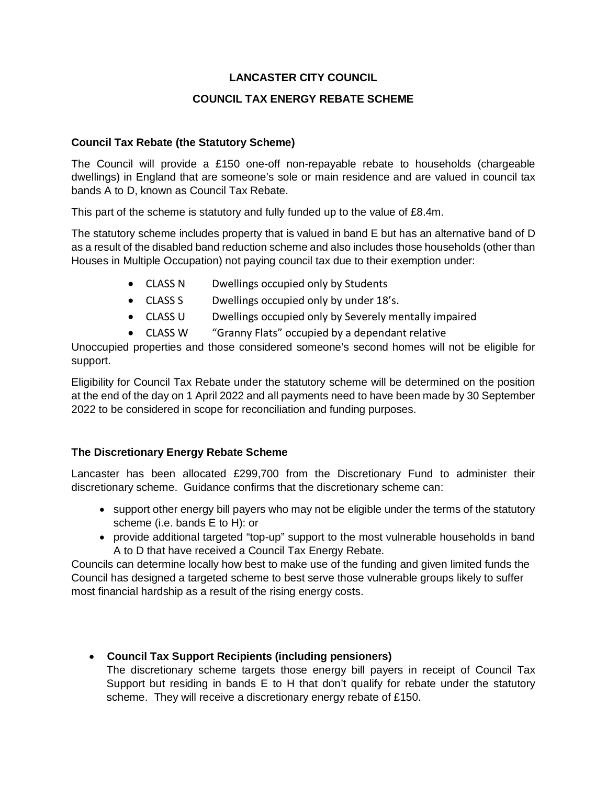## **LANCASTER CITY COUNCIL**

### **COUNCIL TAX ENERGY REBATE SCHEME**

#### **Council Tax Rebate (the Statutory Scheme)**

The Council will provide a £150 one-off non-repayable rebate to households (chargeable dwellings) in England that are someone's sole or main residence and are valued in council tax bands A to D, known as Council Tax Rebate.

This part of the scheme is statutory and fully funded up to the value of £8.4m.

The statutory scheme includes property that is valued in band E but has an alternative band of D as a result of the disabled band reduction scheme and also includes those households (other than Houses in Multiple Occupation) not paying council tax due to their exemption under:

- CLASS N Dwellings occupied only by Students
- CLASS S Dwellings occupied only by under 18's.
- CLASS U Dwellings occupied only by Severely mentally impaired
- CLASS W "Granny Flats" occupied by a dependant relative

Unoccupied properties and those considered someone's second homes will not be eligible for support.

Eligibility for Council Tax Rebate under the statutory scheme will be determined on the position at the end of the day on 1 April 2022 and all payments need to have been made by 30 September 2022 to be considered in scope for reconciliation and funding purposes.

# **The Discretionary Energy Rebate Scheme**

Lancaster has been allocated £299,700 from the Discretionary Fund to administer their discretionary scheme. Guidance confirms that the discretionary scheme can:

- support other energy bill payers who may not be eligible under the terms of the statutory scheme (i.e. bands E to H): or
- provide additional targeted "top-up" support to the most vulnerable households in band A to D that have received a Council Tax Energy Rebate.

Councils can determine locally how best to make use of the funding and given limited funds the Council has designed a targeted scheme to best serve those vulnerable groups likely to suffer most financial hardship as a result of the rising energy costs.

• **Council Tax Support Recipients (including pensioners)**

The discretionary scheme targets those energy bill payers in receipt of Council Tax Support but residing in bands E to H that don't qualify for rebate under the statutory scheme. They will receive a discretionary energy rebate of £150.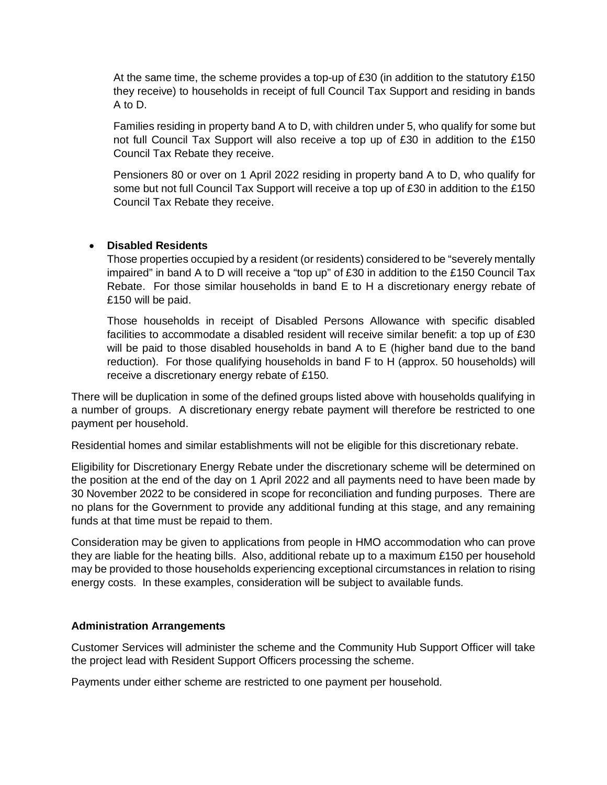At the same time, the scheme provides a top-up of  $£30$  (in addition to the statutory  $£150$ they receive) to households in receipt of full Council Tax Support and residing in bands A to D.

Families residing in property band A to D, with children under 5, who qualify for some but not full Council Tax Support will also receive a top up of £30 in addition to the £150 Council Tax Rebate they receive.

Pensioners 80 or over on 1 April 2022 residing in property band A to D, who qualify for some but not full Council Tax Support will receive a top up of £30 in addition to the £150 Council Tax Rebate they receive.

### • **Disabled Residents**

Those properties occupied by a resident (or residents) considered to be "severely mentally impaired" in band A to D will receive a "top up" of £30 in addition to the £150 Council Tax Rebate. For those similar households in band E to H a discretionary energy rebate of £150 will be paid.

Those households in receipt of Disabled Persons Allowance with specific disabled facilities to accommodate a disabled resident will receive similar benefit: a top up of £30 will be paid to those disabled households in band A to E (higher band due to the band reduction). For those qualifying households in band F to H (approx. 50 households) will receive a discretionary energy rebate of £150.

There will be duplication in some of the defined groups listed above with households qualifying in a number of groups. A discretionary energy rebate payment will therefore be restricted to one payment per household.

Residential homes and similar establishments will not be eligible for this discretionary rebate.

Eligibility for Discretionary Energy Rebate under the discretionary scheme will be determined on the position at the end of the day on 1 April 2022 and all payments need to have been made by 30 November 2022 to be considered in scope for reconciliation and funding purposes. There are no plans for the Government to provide any additional funding at this stage, and any remaining funds at that time must be repaid to them.

Consideration may be given to applications from people in HMO accommodation who can prove they are liable for the heating bills. Also, additional rebate up to a maximum £150 per household may be provided to those households experiencing exceptional circumstances in relation to rising energy costs. In these examples, consideration will be subject to available funds.

#### **Administration Arrangements**

Customer Services will administer the scheme and the Community Hub Support Officer will take the project lead with Resident Support Officers processing the scheme.

Payments under either scheme are restricted to one payment per household.